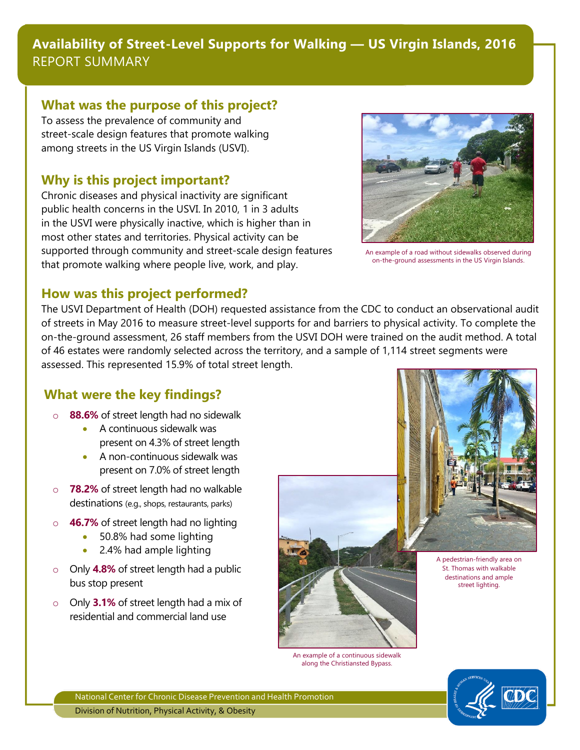## **Availability of Street-Level Supports for Walking — US Virgin Islands, 2016** REPORT SUMMARY

#### **What was the purpose of this project?**

To assess the prevalence of community and street-scale design features that promote walking among streets in the US Virgin Islands (USVI).

#### **Why is this project important?**

Chronic diseases and physical inactivity are significant public health concerns in the USVI. In 2010, 1 in 3 adults in the USVI were physically inactive, which is higher than in most other states and territories. Physical activity can be supported through community and street-scale design features that promote walking where people live, work, and play.



An example of a road without sidewalks observed during on-the-ground assessments in the US Virgin Islands.

#### **How was this project performed?**

The USVI Department of Health (DOH) requested assistance from the CDC to conduct an observational audit of streets in May 2016 to measure street-level supports for and barriers to physical activity. To complete the on-the-ground assessment, 26 staff members from the USVI DOH were trained on the audit method. A total of 46 estates were randomly selected across the territory, and a sample of 1,114 street segments were assessed. This represented 15.9% of total street length.

### **What were the key findings?**

- o **88.6%** of street length had no sidewalk
	- A continuous sidewalk was present on 4.3% of street length
	- A non-continuous sidewalk was present on 7.0% of street length
- **78.2%** of street length had no walkable destinations (e.g., shops, restaurants, parks)
- o **46.7%** of street length had no lighting
	- 50.8% had some lighting
	- 2.4% had ample lighting
- o Only **4.8%** of street length had a public bus stop present
- o Only **3.1%** of street length had a mix of residential and commercial land use



An example of a continuous sidewalk along the Christiansted Bypass.